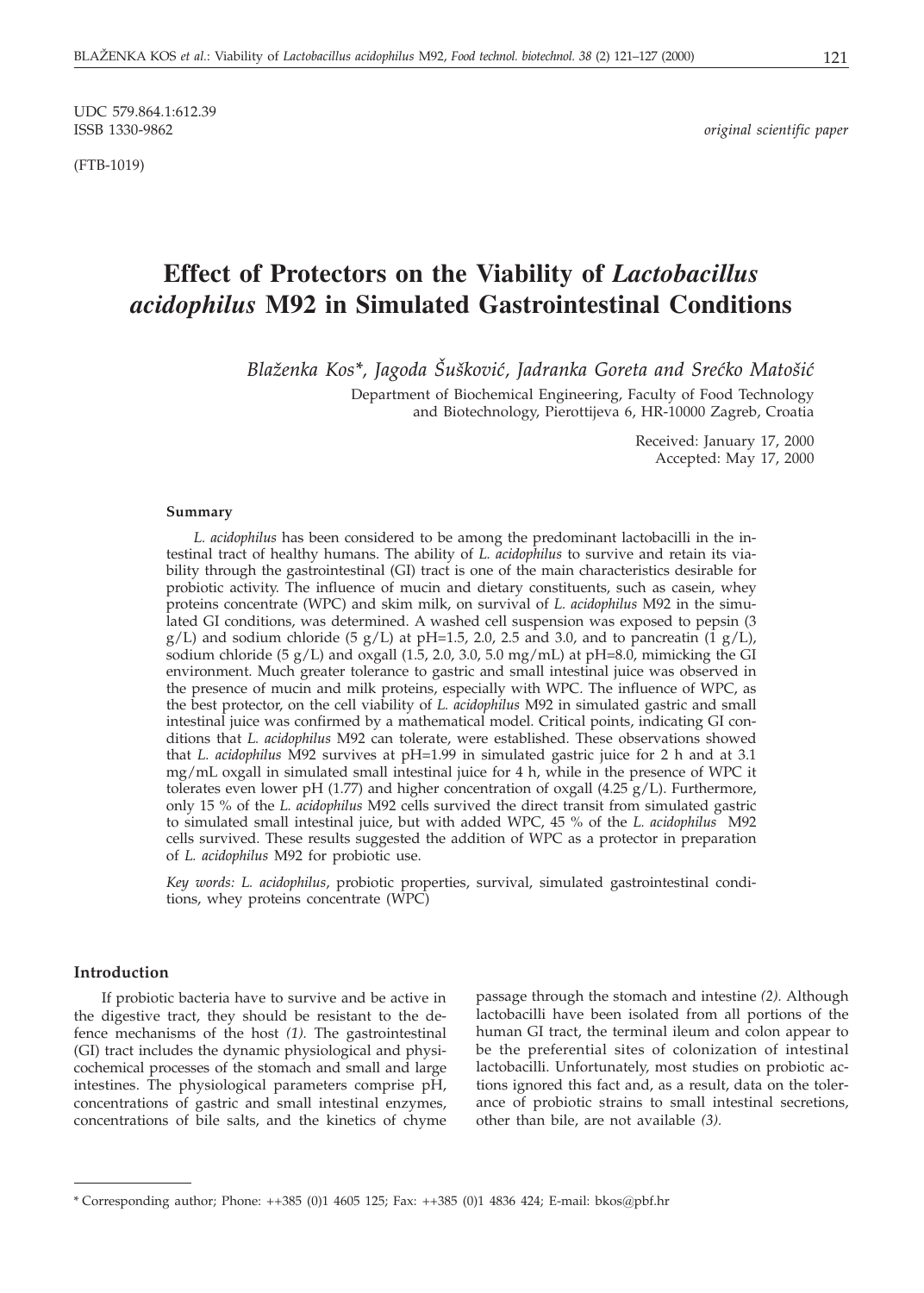UDC 579.864.1:612.39

(FTB-1019)

 $original$  scientific paper

# **Effect of Protectors on the Viability of** *Lactobacillus acidophilus* **M92 in Simulated Gastrointestinal Conditions**

*Blaženka Kos\*, Jagoda Šušković, Jadranka Goreta and Srećko Matošić* 

Department of Biochemical Engineering, Faculty of Food Technology and Biotechnology, Pierottijeva 6, HR-10000 Zagreb, Croatia

> Received: January 17, 2000 Accepted: May 17, 2000

#### **Summary**

*L. acidophilus* has been considered to be among the predominant lactobacilli in the intestinal tract of healthy humans. The ability of *L. acidophilus* to survive and retain its viability through the gastrointestinal (GI) tract is one of the main characteristics desirable for probiotic activity. The influence of mucin and dietary constituents, such as casein, whey proteins concentrate (WPC) and skim milk, on survival of *L. acidophilus* M92 in the simulated GI conditions, was determined. A washed cell suspension was exposed to pepsin (3  $g/L$ ) and sodium chloride (5  $g/L$ ) at pH=1.5, 2.0, 2.5 and 3.0, and to pancreatin (1  $g/L$ ), sodium chloride (5  $g/L$ ) and oxgall (1.5, 2.0, 3.0, 5.0 mg/mL) at pH=8.0, mimicking the GI environment. Much greater tolerance to gastric and small intestinal juice was observed in the presence of mucin and milk proteins, especially with WPC. The influence of WPC, as the best protector, on the cell viability of *L. acidophilus* M92 in simulated gastric and small intestinal juice was confirmed by a mathematical model. Critical points, indicating GI conditions that *L. acidophilus* M92 can tolerate, were established. These observations showed that *L. acidophilus* M92 survives at pH=1.99 in simulated gastric juice for 2 h and at 3.1 mg/mL oxgall in simulated small intestinal juice for 4 h, while in the presence of WPC it tolerates even lower pH (1.77) and higher concentration of oxgall (4.25  $g/L$ ). Furthermore, only 15 % of the *L. acidophilus* M92 cells survived the direct transit from simulated gastric to simulated small intestinal juice, but with added WPC, 45 % of the *L. acidophilus* M92 cells survived. These results suggested the addition of WPC as a protector in preparation of *L. acidophilus* M92 for probiotic use.

*Key words: L. acidophilus*, probiotic properties, survival, simulated gastrointestinal conditions, whey proteins concentrate (WPC)

## **Introduction**

If probiotic bacteria have to survive and be active in the digestive tract, they should be resistant to the defence mechanisms of the host *(1).* The gastrointestinal (GI) tract includes the dynamic physiological and physicochemical processes of the stomach and small and large intestines. The physiological parameters comprise pH, concentrations of gastric and small intestinal enzymes, concentrations of bile salts, and the kinetics of chyme

passage through the stomach and intestine *(2).* Although lactobacilli have been isolated from all portions of the human GI tract, the terminal ileum and colon appear to be the preferential sites of colonization of intestinal lactobacilli. Unfortunately, most studies on probiotic actions ignored this fact and, as a result, data on the tolerance of probiotic strains to small intestinal secretions, other than bile, are not available *(3).*

<sup>\*</sup> Corresponding author; Phone: ++385 (0)1 4605 125; Fax: ++385 (0)1 4836 424; E-mail: bkos*@*pbf.hr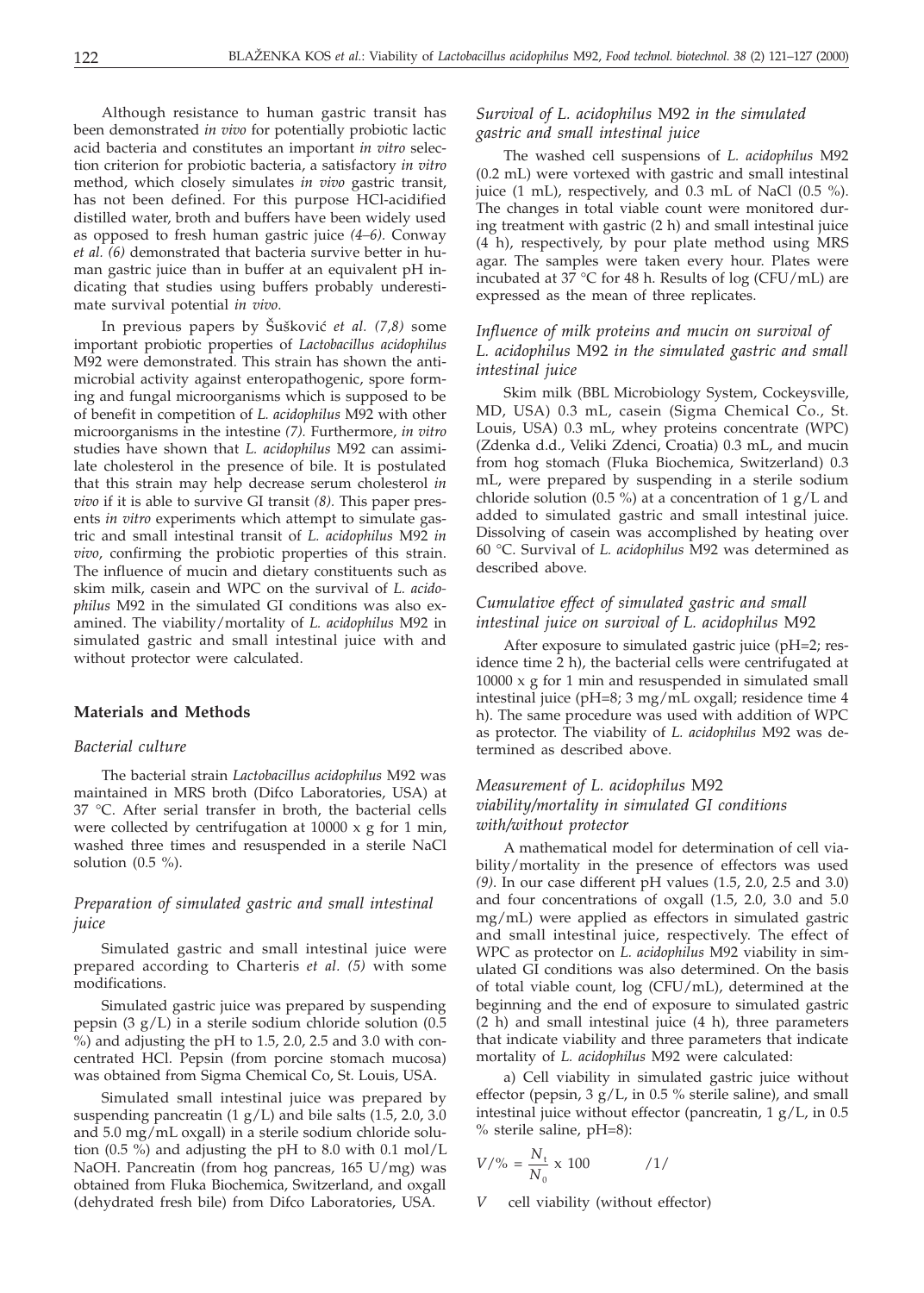Although resistance to human gastric transit has been demonstrated *in vivo* for potentially probiotic lactic acid bacteria and constitutes an important *in vitro* selection criterion for probiotic bacteria, a satisfactory *in vitro* method, which closely simulates *in vivo* gastric transit, has not been defined. For this purpose HCl-acidified distilled water, broth and buffers have been widely used as opposed to fresh human gastric juice *(4–6).* Conway *et al. (6)* demonstrated that bacteria survive better in human gastric juice than in buffer at an equivalent pH indicating that studies using buffers probably underestimate survival potential *in vivo*.

In previous papers by Šušković *et al.* (7,8) some important probiotic properties of *Lactobacillus acidophilus* M92 were demonstrated*.* This strain has shown the antimicrobial activity against enteropathogenic, spore forming and fungal microorganisms which is supposed to be of benefit in competition of *L. acidophilus* M92 with other microorganisms in the intestine *(7).* Furthermore, *in vitro* studies have shown that *L. acidophilus* M92 can assimilate cholesterol in the presence of bile. It is postulated that this strain may help decrease serum cholesterol *in vivo* if it is able to survive GI transit *(8).* This paper presents *in vitro* experiments which attempt to simulate gastric and small intestinal transit of *L. acidophilus* M92 *in vivo*, confirming the probiotic properties of this strain. The influence of mucin and dietary constituents such as skim milk, casein and WPC on the survival of *L. acidophilus* M92 in the simulated GI conditions was also examined. The viability/mortality of *L. acidophilus* M92 in simulated gastric and small intestinal juice with and without protector were calculated.

### **Materials and Methods**

### *Bacterial culture*

The bacterial strain *Lactobacillus acidophilus* M92 was maintained in MRS broth (Difco Laboratories, USA) at 37 °C. After serial transfer in broth, the bacterial cells were collected by centrifugation at 10000 x g for 1 min, washed three times and resuspended in a sterile NaCl solution  $(0.5 \%)$ .

# *Preparation of simulated gastric and small intestinal juice*

Simulated gastric and small intestinal juice were prepared according to Charteris *et al. (5)* with some modifications.

Simulated gastric juice was prepared by suspending pepsin (3 g/L) in a sterile sodium chloride solution (0.5 %) and adjusting the pH to 1.5, 2.0, 2.5 and 3.0 with concentrated HCl. Pepsin (from porcine stomach mucosa) was obtained from Sigma Chemical Co, St. Louis, USA.

Simulated small intestinal juice was prepared by suspending pancreatin  $(1 g/L)$  and bile salts  $(1.5, 2.0, 3.0)$ and 5.0 mg/mL oxgall) in a sterile sodium chloride solution  $(0.5 \%)$  and adjusting the pH to 8.0 with 0.1 mol/L NaOH. Pancreatin (from hog pancreas, 165 U/mg) was obtained from Fluka Biochemica, Switzerland, and oxgall (dehydrated fresh bile) from Difco Laboratories, USA*.*

# *Survival of L. acidophilus* M92 *in the simulated gastric and small intestinal juice*

The washed cell suspensions of *L. acidophilus* M92 (0.2 mL) were vortexed with gastric and small intestinal juice (1 mL), respectively, and 0.3 mL of NaCl (0.5 %). The changes in total viable count were monitored during treatment with gastric (2 h) and small intestinal juice (4 h), respectively, by pour plate method using MRS agar. The samples were taken every hour. Plates were incubated at 37  $°C$  for 48 h. Results of log (CFU/mL) are expressed as the mean of three replicates.

# *Influence of milk proteins and mucin on survival of L. acidophilus* M92 *in the simulated gastric and small intestinal juice*

Skim milk (BBL Microbiology System, Cockeysville, MD, USA) 0.3 mL, casein (Sigma Chemical Co., St. Louis, USA) 0.3 mL, whey proteins concentrate (WPC) (Zdenka d.d., Veliki Zdenci, Croatia) 0.3 mL, and mucin from hog stomach (Fluka Biochemica, Switzerland) 0.3 mL, were prepared by suspending in a sterile sodium chloride solution (0.5 %) at a concentration of 1  $g/L$  and added to simulated gastric and small intestinal juice. Dissolving of casein was accomplished by heating over 60 °C. Survival of *L. acidophilus* M92 was determined as described above.

# *Cumulative effect of simulated gastric and small intestinal juice on survival of L. acidophilus* M92

After exposure to simulated gastric juice (pH=2; residence time 2 h), the bacterial cells were centrifugated at 10000 x g for 1 min and resuspended in simulated small intestinal juice (pH=8; 3 mg/mL oxgall; residence time 4 h). The same procedure was used with addition of WPC as protector. The viability of *L. acidophilus* M92 was determined as described above.

# *Measurement of L. acidophilus* M92 *viability/mortality in simulated GI conditions with/without protector*

A mathematical model for determination of cell viability/mortality in the presence of effectors was used *(9)*. In our case different pH values (1.5, 2.0, 2.5 and 3.0) and four concentrations of oxgall (1.5, 2.0, 3.0 and 5.0 mg/mL) were applied as effectors in simulated gastric and small intestinal juice, respectively. The effect of WPC as protector on *L. acidophilus* M92 viability in simulated GI conditions was also determined. On the basis of total viable count, log (CFU/mL), determined at the beginning and the end of exposure to simulated gastric (2 h) and small intestinal juice (4 h), three parameters that indicate viability and three parameters that indicate mortality of *L. acidophilus* M92 were calculated:

a) Cell viability in simulated gastric juice without effector (pepsin,  $3 g/L$ , in 0.5 % sterile saline), and small intestinal juice without effector (pancreatin,  $1 g/L$ , in 0.5 % sterile saline, pH=8):

$$
V/\% = \frac{N_{\rm t}}{N_0} \times 100 \qquad \qquad /1/
$$

cell viability (without effector)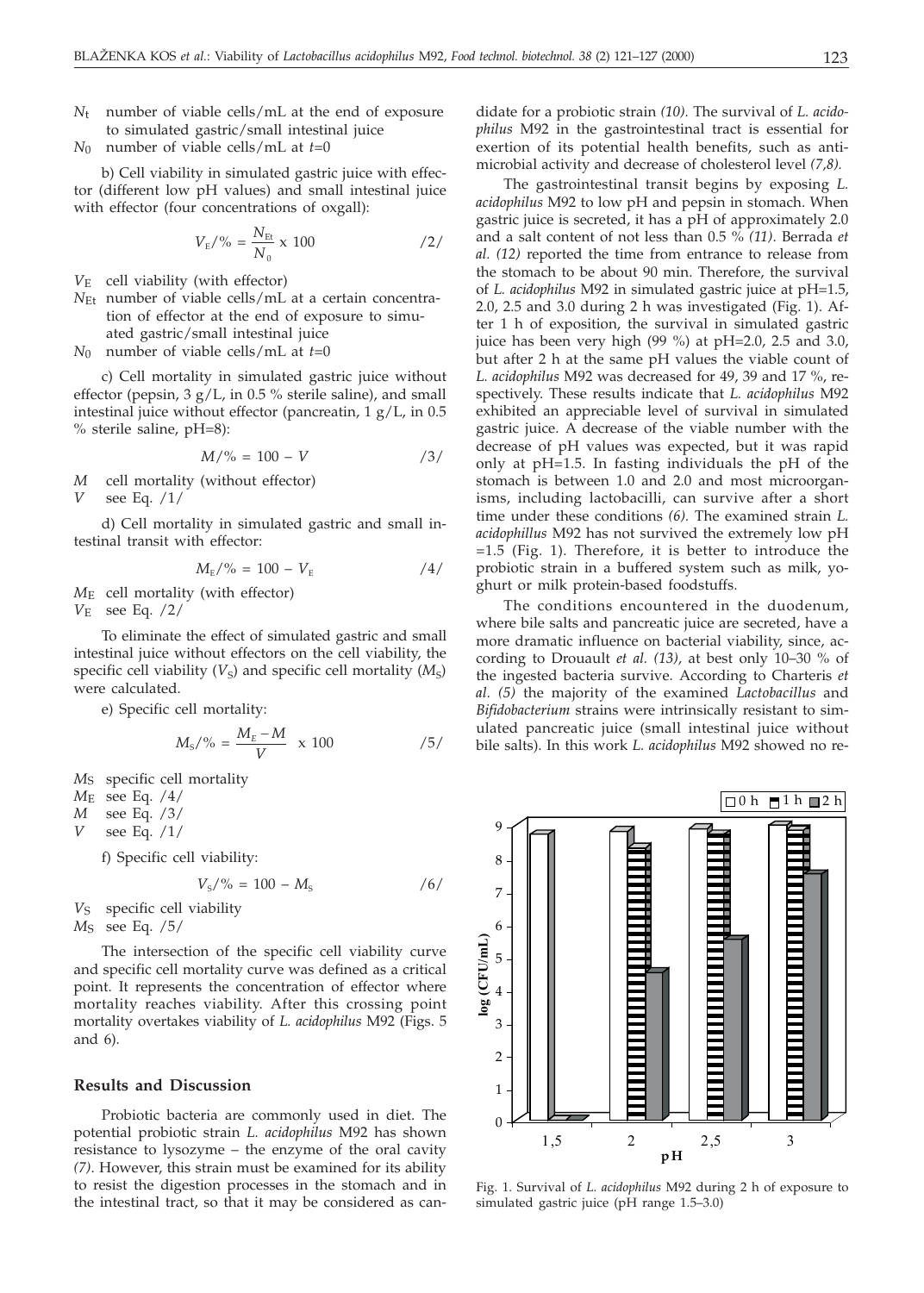- *N*t number of viable cells/mL at the end of exposure to simulated gastric/small intestinal juice
- *N*0 number of viable cells/mL at *t*=0

b) Cell viability in simulated gastric juice with effector (different low pH values) and small intestinal juice with effector (four concentrations of oxgall):

$$
V_{\rm E}/\% = \frac{N_{\rm Et}}{N_0} \times 100 \qquad \qquad /2/
$$

- *V*E cell viability (with effector)
- *N*<sub>Et</sub> number of viable cells/mL at a certain concentration of effector at the end of exposure to simuated gastric/small intestinal juice
- *N*0 number of viable cells/mL at *t*=0

c) Cell mortality in simulated gastric juice without effector (pepsin, 3 g/L, in 0.5 % sterile saline), and small intestinal juice without effector (pancreatin, 1 g/L, in 0.5 % sterile saline, pH=8):

$$
M/\% = 100 - V
$$
 /3/

- *M* cell mortality (without effector) *V* see Eq. /1/
- d) Cell mortality in simulated gastric and small intestinal transit with effector:

$$
M_{\rm E}/\% = 100 - V_{\rm E} \tag{4/}
$$

*M*E cell mortality (with effector)

*V*E see Eq. /2/

To eliminate the effect of simulated gastric and small intestinal juice without effectors on the cell viability, the specific cell viability  $(V<sub>S</sub>)$  and specific cell mortality  $(M<sub>S</sub>)$ were calculated.

e) Specific cell mortality:

$$
M_{\rm s}/\% = \frac{M_{\rm E} - M}{V} \times 100 \qquad \qquad /5/
$$

*M*S specific cell mortality

- *M*E see Eq. /4/
- *M* see Eq. /3/

*V* see Eq. /1/

f) Specific cell viability:

 $V_s$ /% = 100 –  $M_s$  /6/

V<sub>S</sub> specific cell viability

*M*S see Eq. /5/

The intersection of the specific cell viability curve and specific cell mortality curve was defined as a critical point. It represents the concentration of effector where mortality reaches viability. After this crossing point mortality overtakes viability of *L. acidophilus* M92 (Figs. 5 and 6).

#### **Results and Discussion**

Probiotic bacteria are commonly used in diet. The potential probiotic strain *L. acidophilus* M92 has shown resistance to lysozyme – the enzyme of the oral cavity *(7)*. However, this strain must be examined for its ability to resist the digestion processes in the stomach and in the intestinal tract, so that it may be considered as candidate for a probiotic strain *(10).* The survival of *L. acidophilus* M92 in the gastrointestinal tract is essential for exertion of its potential health benefits, such as antimicrobial activity and decrease of cholesterol level *(7,8).*

The gastrointestinal transit begins by exposing *L. acidophilus* M92 to low pH and pepsin in stomach. When gastric juice is secreted, it has a pH of approximately 2.0 and a salt content of not less than 0.5 % *(11)*. Berrada *et al. (12)* reported the time from entrance to release from the stomach to be about 90 min. Therefore, the survival of *L. acidophilus* M92 in simulated gastric juice at pH=1.5, 2.0, 2.5 and 3.0 during 2 h was investigated (Fig. 1). After 1 h of exposition, the survival in simulated gastric juice has been very high (99 %) at pH=2.0, 2.5 and 3.0, but after 2 h at the same pH values the viable count of *L. acidophilus* M92 was decreased for 49, 39 and 17 %, respectively. These results indicate that *L. acidophilus* M92 exhibited an appreciable level of survival in simulated gastric juice. A decrease of the viable number with the decrease of pH values was expected, but it was rapid only at pH=1.5. In fasting individuals the pH of the stomach is between 1.0 and 2.0 and most microorganisms, including lactobacilli, can survive after a short time under these conditions *(6).* The examined strain *L. acidophillus* M92 has not survived the extremely low pH =1.5 (Fig. 1). Therefore, it is better to introduce the probiotic strain in a buffered system such as milk, yoghurt or milk protein-based foodstuffs.

The conditions encountered in the duodenum, where bile salts and pancreatic juice are secreted, have a more dramatic influence on bacterial viability, since, according to Drouault *et al. (13),* at best only 10–30 % of the ingested bacteria survive. According to Charteris *et al. (5)* the majority of the examined *Lactobacillus* and *Bifidobacterium* strains were intrinsically resistant to simulated pancreatic juice (small intestinal juice without bile salts). In this work *L. acidophilus* M92 showed no re-



Fig. 1. Survival of *L. acidophilus* M92 during 2 h of exposure to simulated gastric juice (pH range 1.5–3.0)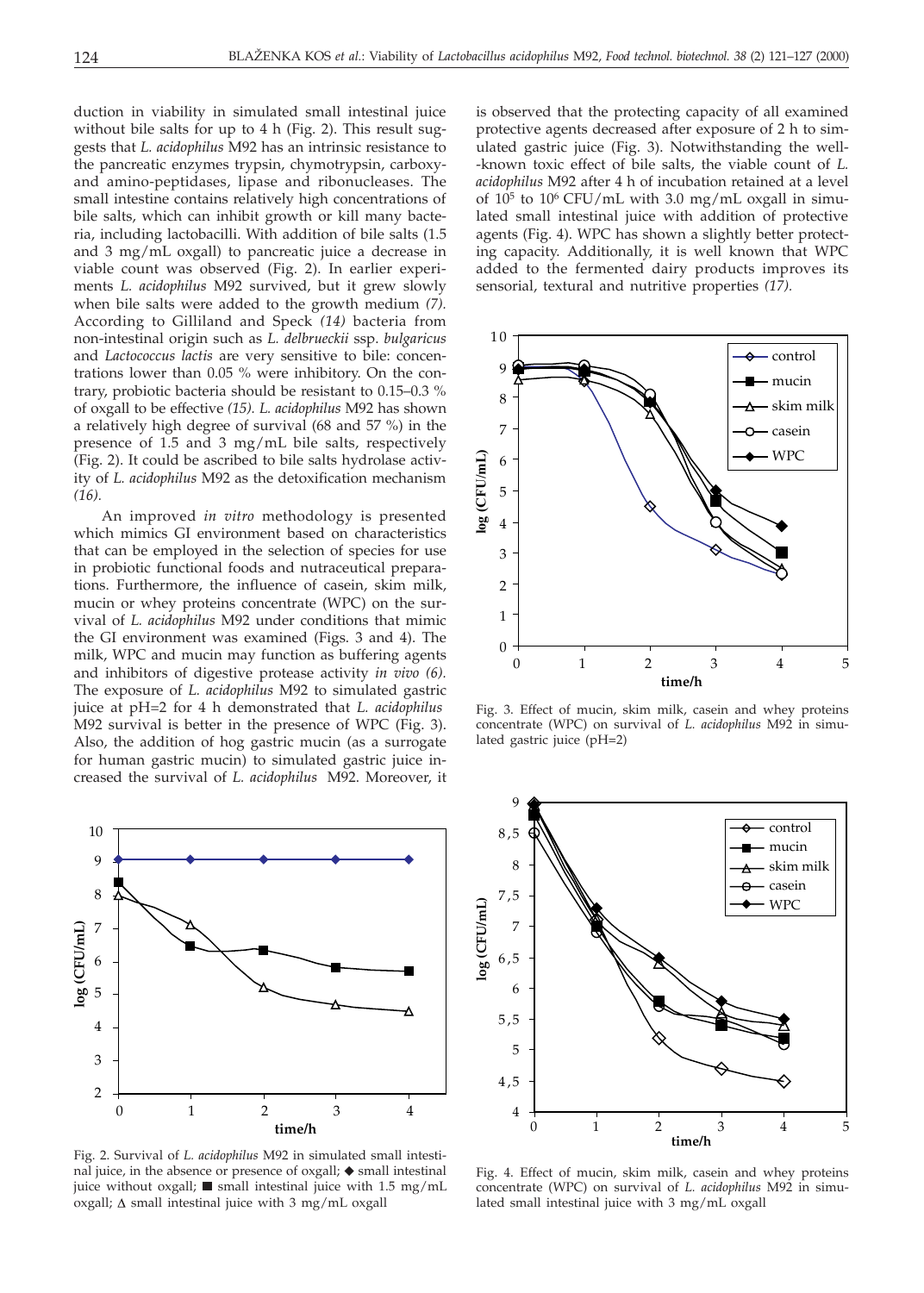duction in viability in simulated small intestinal juice without bile salts for up to 4 h (Fig. 2). This result suggests that *L. acidophilus* M92 has an intrinsic resistance to the pancreatic enzymes trypsin, chymotrypsin, carboxyand amino-peptidases, lipase and ribonucleases. The small intestine contains relatively high concentrations of bile salts, which can inhibit growth or kill many bacteria, including lactobacilli. With addition of bile salts (1.5 and 3 mg/mL oxgall) to pancreatic juice a decrease in viable count was observed (Fig. 2). In earlier experiments *L. acidophilus* M92 survived, but it grew slowly when bile salts were added to the growth medium *(7).* According to Gilliland and Speck *(14)* bacteria from non-intestinal origin such as *L. delbrueckii* ssp. *bulgaricus* and *Lactococcus lactis* are very sensitive to bile: concentrations lower than 0.05 % were inhibitory. On the contrary, probiotic bacteria should be resistant to 0.15–0.3 % of oxgall to be effective *(15). L. acidophilus* M92 has shown a relatively high degree of survival (68 and 57 %) in the presence of 1.5 and 3 mg/mL bile salts, respectively (Fig. 2). It could be ascribed to bile salts hydrolase activity of *L. acidophilus* M92 as the detoxification mechanism *(16).*

An improved *in vitro* methodology is presented which mimics GI environment based on characteristics that can be employed in the selection of species for use in probiotic functional foods and nutraceutical preparations. Furthermore, the influence of casein, skim milk, mucin or whey proteins concentrate (WPC) on the survival of *L. acidophilus* M92 under conditions that mimic the GI environment was examined (Figs. 3 and 4). The milk, WPC and mucin may function as buffering agents and inhibitors of digestive protease activity *in vivo (6).* The exposure of *L. acidophilus* M92 to simulated gastric juice at pH=2 for 4 h demonstrated that *L. acidophilus* M92 survival is better in the presence of WPC (Fig. 3). Also, the addition of hog gastric mucin (as a surrogate for human gastric mucin) to simulated gastric juice increased the survival of *L. acidophilus* M92. Moreover, it



Fig. 2. Survival of *L. acidophilus* M92 in simulated small intestinal juice, in the absence or presence of oxgall;  $\blacklozenge$  small intestinal juice without oxgall;  $\blacksquare$  small intestinal juice with 1.5 mg/mL oxgall;  $\Delta$  small intestinal juice with 3 mg/mL oxgall

is observed that the protecting capacity of all examined protective agents decreased after exposure of 2 h to simulated gastric juice (Fig. 3). Notwithstanding the well- -known toxic effect of bile salts, the viable count of *L. acidophilus* M92 after 4 h of incubation retained at a level of  $10^5$  to  $10^6$  CFU/mL with 3.0 mg/mL oxgall in simulated small intestinal juice with addition of protective agents (Fig. 4). WPC has shown a slightly better protecting capacity. Additionally, it is well known that WPC added to the fermented dairy products improves its sensorial, textural and nutritive properties *(17).*



Fig. 3. Effect of mucin, skim milk, casein and whey proteins concentrate (WPC) on survival of *L. acidophilus* M92 in simulated gastric juice (pH=2)



Fig. 4. Effect of mucin, skim milk, casein and whey proteins concentrate (WPC) on survival of *L. acidophilus* M92 in simulated small intestinal juice with 3 mg/mL oxgall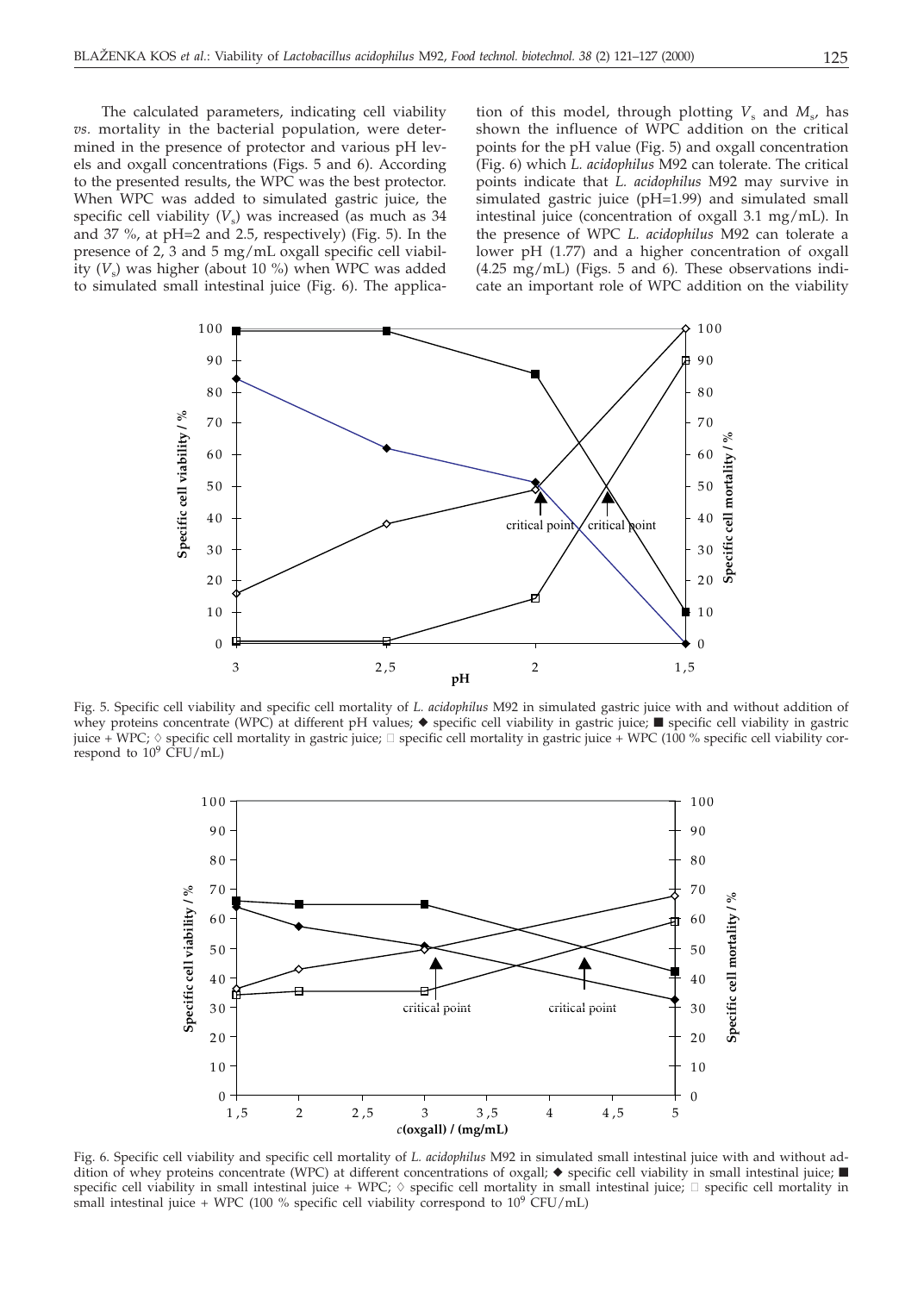The calculated parameters, indicating cell viability *vs.* mortality in the bacterial population, were determined in the presence of protector and various pH levels and oxgall concentrations (Figs. 5 and 6). According to the presented results, the WPC was the best protector. When WPC was added to simulated gastric juice, the specific cell viability  $(V<sub>s</sub>)$  was increased (as much as 34 and 37 %, at pH=2 and 2.5, respectively) (Fig. 5). In the presence of 2, 3 and 5 mg/mL oxgall specific cell viability  $(V_s)$  was higher (about 10 %) when WPC was added to simulated small intestinal juice (Fig. 6). The applica-

tion of this model, through plotting  $V_s$  and  $M_s$ , has shown the influence of WPC addition on the critical points for the pH value (Fig. 5) and oxgall concentration (Fig. 6) which *L. acidophilus* M92 can tolerate. The critical points indicate that *L. acidophilus* M92 may survive in simulated gastric juice (pH=1.99) and simulated small intestinal juice (concentration of oxgall 3.1 mg/mL). In the presence of WPC *L. acidophilus* M92 can tolerate a lower pH (1.77) and a higher concentration of oxgall (4.25 mg/mL) (Figs. 5 and 6)*.* These observations indicate an important role of WPC addition on the viability



Fig. 5. Specific cell viability and specific cell mortality of *L. acidophilus* M92 in simulated gastric juice with and without addition of whey proteins concentrate (WPC) at different pH values;  $\blacklozenge$  specific cell viability in gastric juice;  $\blacksquare$  specific cell viability in gastric juice + WPC;  $\Diamond$  specific cell mortality in gastric juice;  $\Box$  specific cell mortality in gastric juice + WPC (100 % specific cell viability correspond to  $10^9$  CFU/mL)



Fig. 6. Specific cell viability and specific cell mortality of *L. acidophilus* M92 in simulated small intestinal juice with and without addition of whey proteins concentrate (WPC) at different concentrations of oxgall;  $\blacklozenge$  specific cell viability in small intestinal juice;  $\blacksquare$ specific cell viability in small intestinal juice + WPC;  $\Diamond$  specific cell mortality in small intestinal juice;  $\Box$  specific cell mortality in small intestinal juice + WPC (100 % specific cell viability correspond to  $10^9$  CFU/mL)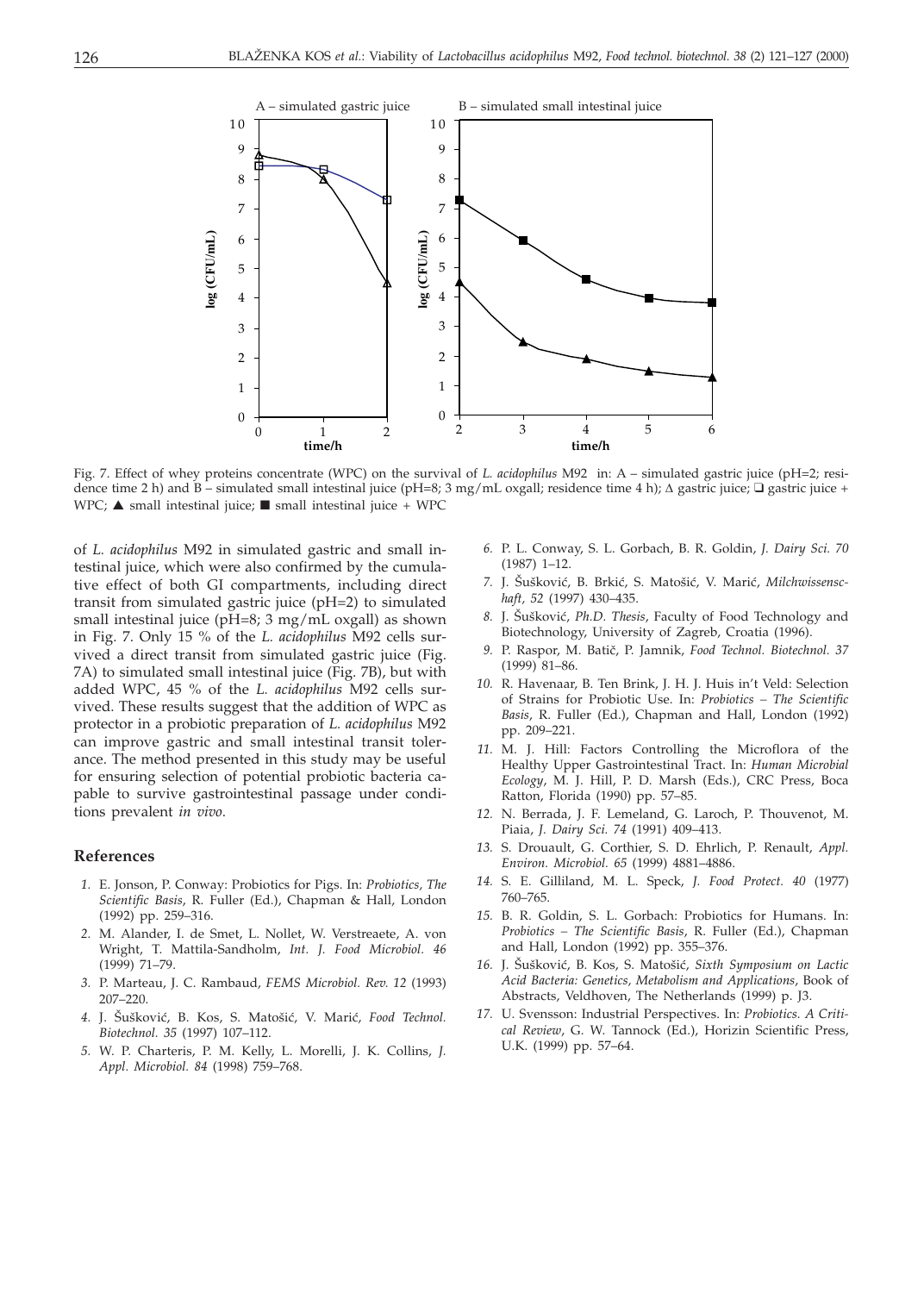

Fig. 7. Effect of whey proteins concentrate (WPC) on the survival of *L. acidophilus* M92 in: A – simulated gastric juice (pH=2; residence time 2 h) and  $\overline{B}$  – simulated small intestinal juice (pH=8; 3 mg/mL oxgall; residence time 4 h);  $\Delta$  gastric juice;  $\Box$  gastric juice; +  $WPC$ ;  $\blacktriangle$  small intestinal juice;  $\blacksquare$  small intestinal juice + WPC

of *L. acidophilus* M92 in simulated gastric and small intestinal juice, which were also confirmed by the cumulative effect of both GI compartments, including direct transit from simulated gastric juice (pH=2) to simulated small intestinal juice (pH=8; 3 mg/mL oxgall) as shown in Fig. 7. Only 15 % of the *L. acidophilus* M92 cells survived a direct transit from simulated gastric juice (Fig. 7A) to simulated small intestinal juice (Fig. 7B), but with added WPC, 45 % of the *L. acidophilus* M92 cells survived. These results suggest that the addition of WPC as protector in a probiotic preparation of *L. acidophilus* M92 can improve gastric and small intestinal transit tolerance. The method presented in this study may be useful for ensuring selection of potential probiotic bacteria capable to survive gastrointestinal passage under conditions prevalent *in vivo*.

#### **References**

- *1.* E. Jonson, P. Conway: Probiotics for Pigs. In: *Probiotics, The Scientific Basis*, R. Fuller (Ed.), Chapman & Hall, London (1992) pp. 259–316.
- *2.* M. Alander, I. de Smet, L. Nollet, W. Verstreaete, A. von Wright, T. Mattila-Sandholm, *Int. J. Food Microbiol. 46* (1999) 71–79.
- *3.* P. Marteau, J. C. Rambaud, *FEMS Microbiol. Rev. 12* (1993) 207–220.
- 4. J. Šušković, B. Kos, S. Matošić, V. Marić, *Food Technol*. *Biotechnol. 35* (1997) 107–112.
- *5.* W. P. Charteris, P. M. Kelly, L. Morelli, J. K. Collins, *J. Appl. Microbiol. 84* (1998) 759–768.
- *6.* P. L. Conway, S. L. Gorbach, B. R. Goldin, *J. Dairy Sci. 70* (1987) 1–12.
- 7. J. Šušković, B. Brkić, S. Matošić, V. Marić, *Milchwissenschaft, 52* (1997) 430–435.
- 8. J. Šušković, *Ph.D. Thesis*, Faculty of Food Technology and Biotechnology, University of Zagreb, Croatia (1996).
- 9. P. Raspor, M. Batič, P. Jamnik, Food Technol. Biotechnol. 37 (1999) 81–86.
- *10.* R. Havenaar, B. Ten Brink, J. H. J. Huis in't Veld: Selection of Strains for Probiotic Use. In: *Probiotics – The Scientific Basis*, R. Fuller (Ed.), Chapman and Hall, London (1992) pp. 209–221.
- *11.* M. J. Hill: Factors Controlling the Microflora of the Healthy Upper Gastrointestinal Tract. In: *Human Microbial Ecology*, M. J. Hill, P. D. Marsh (Eds.), CRC Press, Boca Ratton, Florida (1990) pp. 57–85.
- *12.* N. Berrada, J. F. Lemeland, G. Laroch, P. Thouvenot, M. Piaia, *J. Dairy Sci. 74* (1991) 409–413.
- *13.* S. Drouault, G. Corthier, S. D. Ehrlich, P. Renault, *Appl. Environ. Microbiol. 65* (1999) 4881–4886.
- *14.* S. E. Gilliland, M. L. Speck, *J. Food Protect. 40* (1977) 760–765.
- *15.* B. R. Goldin, S. L. Gorbach: Probiotics for Humans. In: *Probiotics – The Scientific Basis*, R. Fuller (Ed.), Chapman and Hall, London (1992) pp. 355–376.
- 16. J. Šušković, B. Kos, S. Matošić, *Sixth Symposium on Lactic Acid Bacteria: Genetics, Metabolism and Applications*, Book of Abstracts, Veldhoven, The Netherlands (1999) p. J3.
- *17.* U. Svensson: Industrial Perspectives. In: *Probiotics. A Critical Review*, G. W. Tannock (Ed.), Horizin Scientific Press, U.K. (1999) pp. 57–64.